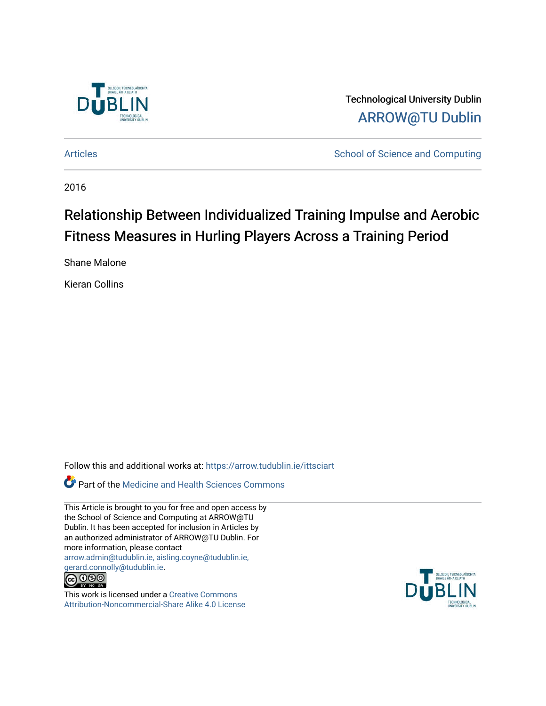

Technological University Dublin [ARROW@TU Dublin](https://arrow.tudublin.ie/) 

[Articles](https://arrow.tudublin.ie/ittsciart) **School of Science and Computing** 

2016

# Relationship Between Individualized Training Impulse and Aerobic Fitness Measures in Hurling Players Across a Training Period

Shane Malone

Kieran Collins

Follow this and additional works at: [https://arrow.tudublin.ie/ittsciart](https://arrow.tudublin.ie/ittsciart?utm_source=arrow.tudublin.ie%2Fittsciart%2F132&utm_medium=PDF&utm_campaign=PDFCoverPages)

**Part of the Medicine and Health Sciences Commons** 

This Article is brought to you for free and open access by the School of Science and Computing at ARROW@TU Dublin. It has been accepted for inclusion in Articles by an authorized administrator of ARROW@TU Dublin. For more information, please contact [arrow.admin@tudublin.ie, aisling.coyne@tudublin.ie,](mailto:arrow.admin@tudublin.ie,%20aisling.coyne@tudublin.ie,%20gerard.connolly@tudublin.ie)  [gerard.connolly@tudublin.ie](mailto:arrow.admin@tudublin.ie,%20aisling.coyne@tudublin.ie,%20gerard.connolly@tudublin.ie).



This work is licensed under a [Creative Commons](http://creativecommons.org/licenses/by-nc-sa/4.0/) [Attribution-Noncommercial-Share Alike 4.0 License](http://creativecommons.org/licenses/by-nc-sa/4.0/)

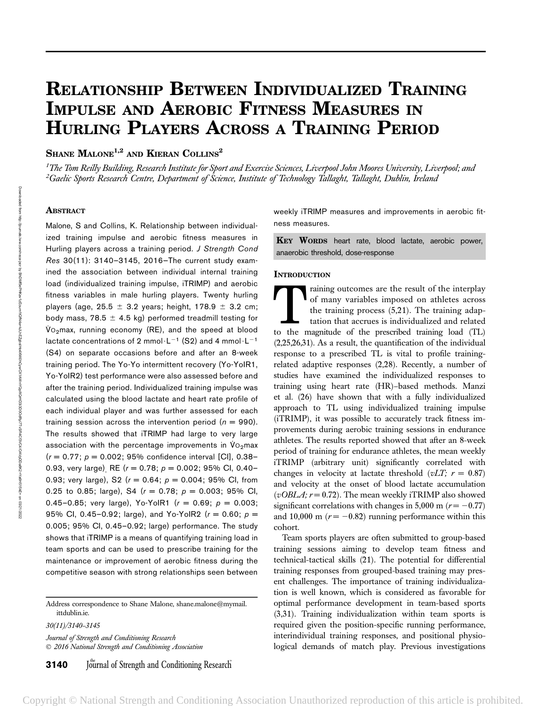# RELATIONSHIP BETWEEN INDIVIDUALIZED TRAINING IMPULSE AND AEROBIC FITNESS MEASURES IN HURLING PLAYERS ACROSS A TRAINING PERIOD

# SHANE MALONE<sup>1,2</sup> AND KIERAN COLLINS<sup>2</sup>

<sup>1</sup>The Tom Reilly Building, Research Institute for Sport and Exercise Sciences, Liverpool John Moores University, Liverpool; and <sup>2</sup>Gaelic Sports Research Centre, Department of Science, Institute of Technology Tallaght, Tallaght, Dublin, Ireland

#### **ABSTRACT**

Malone, S and Collins, K. Relationship between individualized training impulse and aerobic fitness measures in Hurling players across a training period. J Strength Cond Res 30(11): 3140–3145, 2016—The current study examined the association between individual internal training load (individualized training impulse, iTRIMP) and aerobic fitness variables in male hurling players. Twenty hurling players (age, 25.5  $\pm$  3.2 years; height, 178.9  $\pm$  3.2 cm; body mass, 78.5  $\pm$  4.5 kg) performed treadmill testing for  $\dot{V}$ <sub>2</sub>max, running economy (RE), and the speed at blood lactate concentrations of 2 mmol $\cdot L^{-1}$  (S2) and 4 mmol $\cdot L^{-1}$ (S4) on separate occasions before and after an 8-week training period. The Yo-Yo intermittent recovery (Yo-YoIR1, Yo-YoIR2) test performance were also assessed before and after the training period. Individualized training impulse was calculated using the blood lactate and heart rate profile of each individual player and was further assessed for each training session across the intervention period ( $n = 990$ ). The results showed that iTRIMP had large to very large association with the percentage improvements in  $V_{O_2}$ max  $(r = 0.77; p = 0.002; 95%$  confidence interval [CI], 0.38-0.93, very large) RE ( $r = 0.78$ ;  $p = 0.002$ ; 95% Cl, 0.40-0.93; very large), S2 ( $r = 0.64$ ;  $p = 0.004$ ; 95% Cl, from 0.25 to 0.85; large), S4 ( $r = 0.78$ ;  $p = 0.003$ ; 95% Cl, 0.45–0.85; very large), Yo-YoIR1 ( $r = 0.69$ ;  $p = 0.003$ ; 95% Cl, 0.45-0.92; large), and Yo-YolR2 ( $r = 0.60$ ;  $p =$ 0.005; 95% CI, 0.45–0.92; large) performance. The study shows that iTRIMP is a means of quantifying training load in team sports and can be used to prescribe training for the maintenance or improvement of aerobic fitness during the competitive season with strong relationships seen between

Address correspondence to Shane Malone, shane.malone@mymail. ittdublin.ie.

30(11)/3140–3145

Journal of Strength and Conditioning Research 2016 National Strength and Conditioning Association weekly iTRIMP measures and improvements in aerobic fitness measures.

KEY WORDS heart rate, blood lactate, aerobic power, anaerobic threshold, dose-response

#### **INTRODUCTION**

raining outcomes are the result of the interplay of many variables imposed on athletes across the training process (5,21). The training adaptation that accrues is individualized and related to the magnitude of the prescribed training load (TL) (2,25,26,31). As a result, the quantification of the individual response to a prescribed TL is vital to profile trainingrelated adaptive responses (2,28). Recently, a number of studies have examined the individualized responses to training using heart rate (HR)–based methods. Manzi et al. (26) have shown that with a fully individualized approach to TL using individualized training impulse (iTRIMP), it was possible to accurately track fitness improvements during aerobic training sessions in endurance athletes. The results reported showed that after an 8-week period of training for endurance athletes, the mean weekly iTRIMP (arbitrary unit) significantly correlated with changes in velocity at lactate threshold ( $vLT$ ;  $r = 0.87$ ) and velocity at the onset of blood lactate accumulation (*vOBLA*;  $r = 0.72$ ). The mean weekly iTRIMP also showed significant correlations with changes in 5,000 m ( $r = -0.77$ ) and 10,000 m ( $r = -0.82$ ) running performance within this cohort.

Team sports players are often submitted to group-based training sessions aiming to develop team fitness and technical-tactical skills (21). The potential for differential training responses from grouped-based training may present challenges. The importance of training individualization is well known, which is considered as favorable for optimal performance development in team-based sports (3,31). Training individualization within team sports is required given the position-specific running performance, interindividual training responses, and positional physiological demands of match play. Previous investigations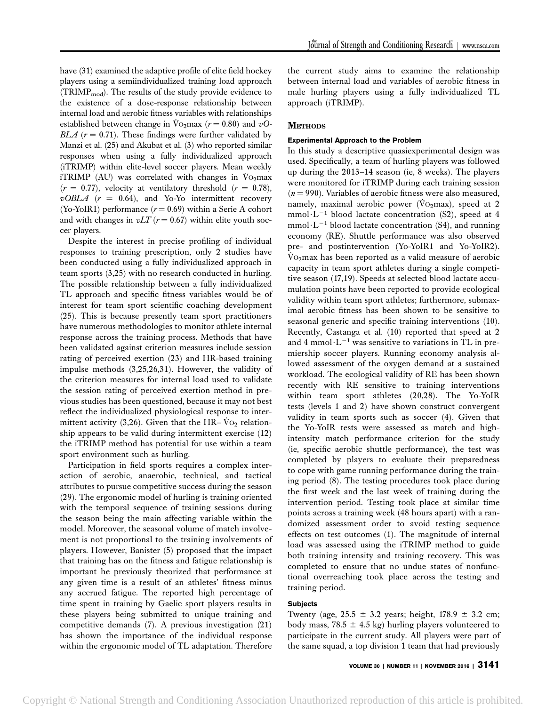have (31) examined the adaptive profile of elite field hockey players using a semiindividualized training load approach  $(TRIMP_{mod})$ . The results of the study provide evidence to the existence of a dose-response relationship between internal load and aerobic fitness variables with relationships established between change in Vo<sub>2</sub>max ( $r = 0.80$ ) and vO-BLA ( $r = 0.71$ ). These findings were further validated by Manzi et al. (25) and Akubat et al. (3) who reported similar responses when using a fully individualized approach (iTRIMP) within elite-level soccer players. Mean weekly iTRIMP (AU) was correlated with changes in  $\dot{V}_{\text{O}_2}$ max  $(r = 0.77)$ , velocity at ventilatory threshold  $(r = 0.78)$ ,  $vOBLA$  ( $r = 0.64$ ), and Yo-Yo intermittent recovery (Yo-YoIR1) performance  $(r = 0.69)$  within a Serie A cohort and with changes in  $vLT$  ( $r = 0.67$ ) within elite youth soccer players.

Despite the interest in precise profiling of individual responses to training prescription, only 2 studies have been conducted using a fully individualized approach in team sports (3,25) with no research conducted in hurling. The possible relationship between a fully individualized TL approach and specific fitness variables would be of interest for team sport scientific coaching development (25). This is because presently team sport practitioners have numerous methodologies to monitor athlete internal response across the training process. Methods that have been validated against criterion measures include session rating of perceived exertion (23) and HR-based training impulse methods (3,25,26,31). However, the validity of the criterion measures for internal load used to validate the session rating of perceived exertion method in previous studies has been questioned, because it may not best reflect the individualized physiological response to intermittent activity (3,26). Given that the HR–  $\dot{V}$ O<sub>2</sub> relationship appears to be valid during intermittent exercise (12) the iTRIMP method has potential for use within a team sport environment such as hurling.

Participation in field sports requires a complex interaction of aerobic, anaerobic, technical, and tactical attributes to pursue competitive success during the season (29). The ergonomic model of hurling is training oriented with the temporal sequence of training sessions during the season being the main affecting variable within the model. Moreover, the seasonal volume of match involvement is not proportional to the training involvements of players. However, Banister (5) proposed that the impact that training has on the fitness and fatigue relationship is important he previously theorized that performance at any given time is a result of an athletes' fitness minus any accrued fatigue. The reported high percentage of time spent in training by Gaelic sport players results in these players being submitted to unique training and competitive demands (7). A previous investigation (21) has shown the importance of the individual response within the ergonomic model of TL adaptation. Therefore the current study aims to examine the relationship between internal load and variables of aerobic fitness in male hurling players using a fully individualized TL approach (iTRIMP).

## **METHODS**

### Experimental Approach to the Problem

In this study a descriptive quasiexperimental design was used. Specifically, a team of hurling players was followed up during the 2013–14 season (ie, 8 weeks). The players were monitored for iTRIMP during each training session  $(n = 990)$ . Variables of aerobic fitness were also measured, namely, maximal aerobic power ( $\overline{V}$ O<sub>2</sub>max), speed at 2 mmol $\cdot L^{-1}$  blood lactate concentration (S2), speed at 4 mmol $\cdot$ L<sup>-1</sup> blood lactate concentration (S4), and running economy (RE). Shuttle performance was also observed pre- and postintervention (Yo-YoIR1 and Yo-YoIR2).  $\rm\dot{V}o_2$  max has been reported as a valid measure of aerobic capacity in team sport athletes during a single competitive season (17,19). Speeds at selected blood lactate accumulation points have been reported to provide ecological validity within team sport athletes; furthermore, submaximal aerobic fitness has been shown to be sensitive to seasonal generic and specific training interventions (10). Recently, Castanga et al. (10) reported that speed at 2 and 4 mmol $\cdot L^{-1}$  was sensitive to variations in TL in premiership soccer players. Running economy analysis allowed assessment of the oxygen demand at a sustained workload. The ecological validity of RE has been shown recently with RE sensitive to training interventions within team sport athletes (20,28). The Yo-YoIR tests (levels 1 and 2) have shown construct convergent validity in team sports such as soccer (4). Given that the Yo-YoIR tests were assessed as match and highintensity match performance criterion for the study (ie, specific aerobic shuttle performance), the test was completed by players to evaluate their preparedness to cope with game running performance during the training period (8). The testing procedures took place during the first week and the last week of training during the intervention period. Testing took place at similar time points across a training week (48 hours apart) with a randomized assessment order to avoid testing sequence effects on test outcomes (1). The magnitude of internal load was assessed using the iTRIMP method to guide both training intensity and training recovery. This was completed to ensure that no undue states of nonfunctional overreaching took place across the testing and training period.

### Subjects

Twenty (age,  $25.5 \pm 3.2$  years; height,  $178.9 \pm 3.2$  cm; body mass, 78.5  $\pm$  4.5 kg) hurling players volunteered to participate in the current study. All players were part of the same squad, a top division 1 team that had previously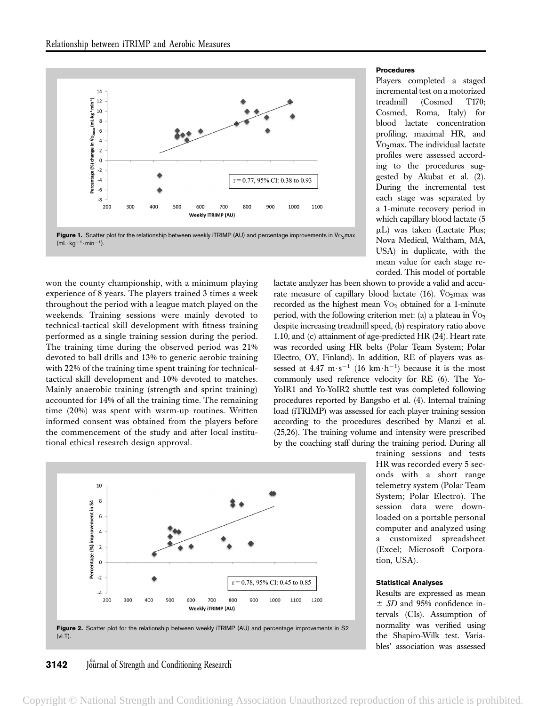

Figure 1. Scatter plot for the relationship between weekly iTRIMP (AU) and percentage improvements in  $\dot{V}$  O<sub>2</sub>max  $(mL \cdot kg^{-1} \cdot min^{-1}).$ 

won the county championship, with a minimum playing experience of 8 years. The players trained 3 times a week throughout the period with a league match played on the weekends. Training sessions were mainly devoted to technical-tactical skill development with fitness training performed as a single training session during the period. The training time during the observed period was 21% devoted to ball drills and 13% to generic aerobic training with 22% of the training time spent training for technicaltactical skill development and 10% devoted to matches. Mainly anaerobic training (strength and sprint training) accounted for 14% of all the training time. The remaining time (20%) was spent with warm-up routines. Written informed consent was obtained from the players before the commencement of the study and after local institutional ethical research design approval.



Players completed a staged incremental test on a motorized treadmill (Cosmed T170; Cosmed, Roma, Italy) for blood lactate concentration profiling, maximal HR, and  $\dot{V}$ O<sub>2</sub>max. The individual lactate profiles were assessed according to the procedures suggested by Akubat et al. (2). During the incremental test each stage was separated by a 1-minute recovery period in which capillary blood lactate (5 mL) was taken (Lactate Plus; Nova Medical, Waltham, MA, USA) in duplicate, with the mean value for each stage recorded. This model of portable

lactate analyzer has been shown to provide a valid and accurate measure of capillary blood lactate (16). Vo<sub>2</sub>max was recorded as the highest mean  $\dot{V}O_2$  obtained for a 1-minute period, with the following criterion met: (a) a plateau in  $\rm VO_2$ despite increasing treadmill speed, (b) respiratory ratio above 1.10, and (c) attainment of age-predicted HR (24). Heart rate was recorded using HR belts (Polar Team System; Polar Electro, OY, Finland). In addition, RE of players was assessed at  $4.47 \text{ m}\cdot\text{s}^{-1}$  (16 km $\cdot$ h<sup>-1</sup>) because it is the most commonly used reference velocity for RE (6). The Yo-YoIR1 and Yo-YoIR2 shuttle test was completed following procedures reported by Bangsbo et al. (4). Internal training load (iTRIMP) was assessed for each player training session according to the procedures described by Manzi et al. (25,26). The training volume and intensity were prescribed by the coaching staff during the training period. During all

 $10$ 8 Percentage (%) improvement in S4 6  $\overline{4}$  $\overline{2}$  $\Omega$  $-2$  $r = 0.78$ , 95% CI: 0.45 to 0.85  $-4$ 1200 200 300 400 500 600 700 800 900 1000 1100 Weekly iTRIMP (AU)



### **3142** Journal of Strength and Conditioning Research

training sessions and tests HR was recorded every 5 seconds with a short range telemetry system (Polar Team System; Polar Electro). The session data were downloaded on a portable personal computer and analyzed using a customized spreadsheet (Excel; Microsoft Corporation, USA).

# Statistical Analyses

Results are expressed as mean  $\pm$  SD and 95% confidence intervals (CIs). Assumption of normality was verified using the Shapiro-Wilk test. Variables' association was assessed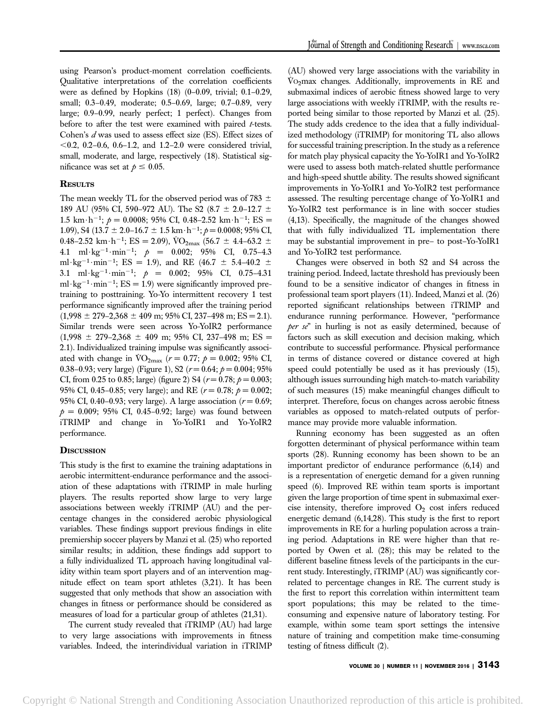using Pearson's product-moment correlation coefficients. Qualitative interpretations of the correlation coefficients were as defined by Hopkins (18) (0–0.09, trivial; 0.1–0.29, small; 0.3–0.49, moderate; 0.5–0.69, large; 0.7–0.89, very large; 0.9–0.99, nearly perfect; 1 perfect). Changes from before to after the test were examined with paired  $t$ -tests. Cohen's  $d$  was used to assess effect size (ES). Effect sizes of  $< 0.2, 0.2 - 0.6, 0.6 - 1.2,$  and 1.2–2.0 were considered trivial, small, moderate, and large, respectively (18). Statistical significance was set at  $p \leq 0.05$ .

## **RESULTS**

The mean weekly TL for the observed period was of 783  $\pm$ 189 AU (95% CI, 590–972 AU). The S2 (8.7  $\pm$  2.0–12.7  $\pm$ 1.5 km $\cdot$ h<sup>-1</sup>;  $p = 0.0008$ ; 95% CI, 0.48–2.52 km $\cdot$ h<sup>-1</sup>; ES = 1.09), S4 (13.7  $\pm$  2.0–16.7  $\pm$  1.5 km $\cdot$ h<sup>-1</sup>; p = 0.0008; 95% CI, 0.48–2.52 km $\cdot$ h<sup>-1</sup>; ES = 2.09), VO<sub>2max</sub> (56.7  $\pm$  4.4–63.2  $\pm$ 4.1 ml · kg<sup>-1</sup> · min<sup>-1</sup>;  $p = 0.002$ ; 95% CI, 0.75-4.3 ml·kg<sup>-1</sup>·min<sup>-1</sup>; ES = 1.9), and RE (46.7  $\pm$  5.4-40.2  $\pm$ 3.1 ml·kg<sup>-1</sup>·min<sup>-1</sup>;  $p = 0.002$ ; 95% CI, 0.75-4.31 ml $\cdot$ kg<sup>-1</sup> $\cdot$ min<sup>-1</sup>; ES = 1.9) were significantly improved pretraining to posttraining. Yo-Yo intermittent recovery 1 test performance significantly improved after the training period  $(1,998 \pm 279 - 2,368 \pm 409 \text{ m}; 95\% \text{ CI}, 237 - 498 \text{ m}; \text{ES} = 2.1).$ Similar trends were seen across Yo-YoIR2 performance  $(1,998 \pm 279 - 2,368 \pm 409 \text{ m}; 95\% \text{ CI}, 237 - 498 \text{ m}; \text{ES} =$ 2.1). Individualized training impulse was significantly associated with change in  $\text{VO}_{2\text{max}}$  ( $r = 0.77; p = 0.002; 95\% \text{ CI}$ , 0.38–0.93; very large) (Figure 1), S2 ( $r = 0.64$ ;  $p = 0.004$ ; 95% CI, from 0.25 to 0.85; large) (figure 2) S4 ( $r = 0.78$ ;  $p = 0.003$ ; 95% CI, 0.45–0.85; very large); and RE ( $r = 0.78$ ;  $p = 0.002$ ; 95% CI, 0.40–0.93; very large). A large association ( $r = 0.69$ ;  $p = 0.009$ ; 95% CI, 0.45-0.92; large) was found between iTRIMP and change in Yo-YoIR1 and Yo-YoIR2 performance.

## **DISCUSSION**

This study is the first to examine the training adaptations in aerobic intermittent-endurance performance and the association of these adaptations with iTRIMP in male hurling players. The results reported show large to very large associations between weekly iTRIMP (AU) and the percentage changes in the considered aerobic physiological variables. These findings support previous findings in elite premiership soccer players by Manzi et al. (25) who reported similar results; in addition, these findings add support to a fully individualized TL approach having longitudinal validity within team sport players and of an intervention magnitude effect on team sport athletes (3,21). It has been suggested that only methods that show an association with changes in fitness or performance should be considered as measures of load for a particular group of athletes (21,31).

The current study revealed that iTRIMP (AU) had large to very large associations with improvements in fitness variables. Indeed, the interindividual variation in iTRIMP (AU) showed very large associations with the variability in  $Vo<sub>2</sub>$ max changes. Additionally, improvements in RE and submaximal indices of aerobic fitness showed large to very large associations with weekly iTRIMP, with the results reported being similar to those reported by Manzi et al. (25). The study adds credence to the idea that a fully individualized methodology (iTRIMP) for monitoring TL also allows for successful training prescription. In the study as a reference for match play physical capacity the Yo-YoIR1 and Yo-YoIR2 were used to assess both match-related shuttle performance and high-speed shuttle ability. The results showed significant improvements in Yo-YoIR1 and Yo-YoIR2 test performance assessed. The resulting percentage change of Yo-YoIR1 and Yo-YoIR2 test performance is in line with soccer studies (4,13). Specifically, the magnitude of the changes showed that with fully individualized TL implementation there may be substantial improvement in pre– to post–Yo-YoIR1 and Yo-YoIR2 test performance.

Changes were observed in both S2 and S4 across the training period. Indeed, lactate threshold has previously been found to be a sensitive indicator of changes in fitness in professional team sport players (11). Indeed, Manzi et al. (26) reported significant relationships between iTRIMP and endurance running performance. However, "performance per se" in hurling is not as easily determined, because of factors such as skill execution and decision making, which contribute to successful performance. Physical performance in terms of distance covered or distance covered at high speed could potentially be used as it has previously (15), although issues surrounding high match-to-match variability of such measures (15) make meaningful changes difficult to interpret. Therefore, focus on changes across aerobic fitness variables as opposed to match-related outputs of performance may provide more valuable information.

Running economy has been suggested as an often forgotten determinant of physical performance within team sports (28). Running economy has been shown to be an important predictor of endurance performance (6,14) and is a representation of energetic demand for a given running speed (6). Improved RE within team sports is important given the large proportion of time spent in submaximal exercise intensity, therefore improved  $O_2$  cost infers reduced energetic demand (6,14,28). This study is the first to report improvements in RE for a hurling population across a training period. Adaptations in RE were higher than that reported by Owen et al. (28); this may be related to the different baseline fitness levels of the participants in the current study. Interestingly, iTRIMP (AU) was significantly correlated to percentage changes in RE. The current study is the first to report this correlation within intermittent team sport populations; this may be related to the timeconsuming and expensive nature of laboratory testing. For example, within some team sport settings the intensive nature of training and competition make time-consuming testing of fitness difficult (2).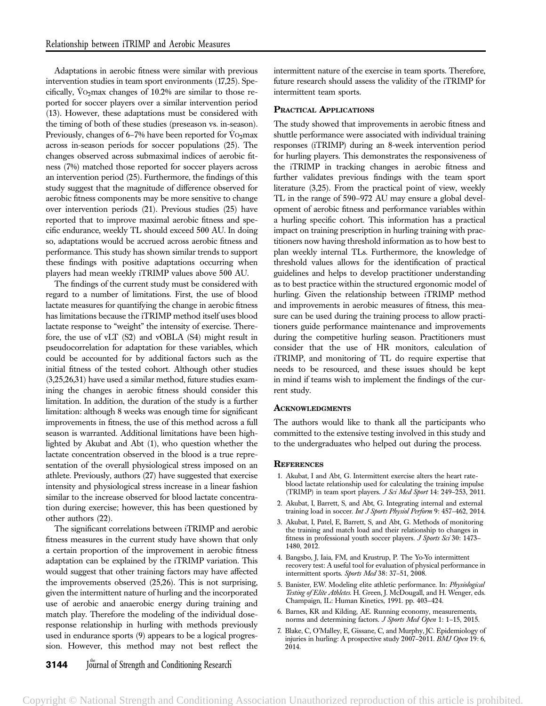Adaptations in aerobic fitness were similar with previous intervention studies in team sport environments (17,25). Specifically,  $\text{Vo}_2$  max changes of 10.2% are similar to those reported for soccer players over a similar intervention period (13). However, these adaptations must be considered with the timing of both of these studies (preseason vs. in-season). Previously, changes of 6–7% have been reported for  $\rm\ddot{V}O_2$  max across in-season periods for soccer populations (25). The changes observed across submaximal indices of aerobic fitness (7%) matched those reported for soccer players across an intervention period (25). Furthermore, the findings of this study suggest that the magnitude of difference observed for aerobic fitness components may be more sensitive to change over intervention periods (21). Previous studies (25) have reported that to improve maximal aerobic fitness and specific endurance, weekly TL should exceed 500 AU. In doing so, adaptations would be accrued across aerobic fitness and performance. This study has shown similar trends to support these findings with positive adaptations occurring when players had mean weekly iTRIMP values above 500 AU.

The findings of the current study must be considered with regard to a number of limitations. First, the use of blood lactate measures for quantifying the change in aerobic fitness has limitations because the iTRIMP method itself uses blood lactate response to "weight" the intensity of exercise. Therefore, the use of vLT (S2) and vOBLA (S4) might result in pseudocorrelation for adaptation for these variables, which could be accounted for by additional factors such as the initial fitness of the tested cohort. Although other studies (3,25,26,31) have used a similar method, future studies examining the changes in aerobic fitness should consider this limitation. In addition, the duration of the study is a further limitation: although 8 weeks was enough time for significant improvements in fitness, the use of this method across a full season is warranted. Additional limitations have been highlighted by Akubat and Abt (1), who question whether the lactate concentration observed in the blood is a true representation of the overall physiological stress imposed on an athlete. Previously, authors (27) have suggested that exercise intensity and physiological stress increase in a linear fashion similar to the increase observed for blood lactate concentration during exercise; however, this has been questioned by other authors (22).

The significant correlations between iTRIMP and aerobic fitness measures in the current study have shown that only a certain proportion of the improvement in aerobic fitness adaptation can be explained by the iTRIMP variation. This would suggest that other training factors may have affected the improvements observed (25,26). This is not surprising, given the intermittent nature of hurling and the incorporated use of aerobic and anaerobic energy during training and match play. Therefore the modeling of the individual doseresponse relationship in hurling with methods previously used in endurance sports (9) appears to be a logical progression. However, this method may not best reflect the intermittent nature of the exercise in team sports. Therefore, future research should assess the validity of the iTRIMP for intermittent team sports.

#### PRACTICAL APPLICATIONS

The study showed that improvements in aerobic fitness and shuttle performance were associated with individual training responses (iTRIMP) during an 8-week intervention period for hurling players. This demonstrates the responsiveness of the iTRIMP in tracking changes in aerobic fitness and further validates previous findings with the team sport literature (3,25). From the practical point of view, weekly TL in the range of 590–972 AU may ensure a global development of aerobic fitness and performance variables within a hurling specific cohort. This information has a practical impact on training prescription in hurling training with practitioners now having threshold information as to how best to plan weekly internal TLs. Furthermore, the knowledge of threshold values allows for the identification of practical guidelines and helps to develop practitioner understanding as to best practice within the structured ergonomic model of hurling. Given the relationship between iTRIMP method and improvements in aerobic measures of fitness, this measure can be used during the training process to allow practitioners guide performance maintenance and improvements during the competitive hurling season. Practitioners must consider that the use of HR monitors, calculation of iTRIMP, and monitoring of TL do require expertise that needs to be resourced, and these issues should be kept in mind if teams wish to implement the findings of the current study.

#### **ACKNOWLEDGMENTS**

The authors would like to thank all the participants who committed to the extensive testing involved in this study and to the undergraduates who helped out during the process.

#### **REFERENCES**

- 1. Akubat, I and Abt, G. Intermittent exercise alters the heart rateblood lactate relationship used for calculating the training impulse (TRIMP) in team sport players. J Sci Med Sport 14: 249-253, 2011.
- 2. Akubat, I, Barrett, S, and Abt, G. Integrating internal and external training load in soccer. Int J Sports Physiol Perform 9: 457-462, 2014.
- 3. Akubat, I, Patel, E, Barrett, S, and Abt, G. Methods of monitoring the training and match load and their relationship to changes in fitness in professional youth soccer players. J Sports Sci 30: 1473-1480, 2012.
- 4. Bangsbo, J, Iaia, FM, and Krustrup, P. The Yo-Yo intermittent recovery test: A useful tool for evaluation of physical performance in intermittent sports. Sports Med 38: 37–51, 2008.
- 5. Banister, EW. Modeling elite athletic performance. In: Physiological Testing of Elite Athletes. H. Green, J. McDougall, and H. Wenger, eds. Champaign, IL: Human Kinetics, 1991. pp. 403–424.
- 6. Barnes, KR and Kilding, AE. Running economy, measurements, norms and determining factors. J Sports Med Open 1: 1-15, 2015.
- 7. Blake, C, O'Malley, E, Gissane, C, and Murphy, JC. Epidemiology of injuries in hurling: A prospective study 2007–2011. BMJ Open 19: 6, 2014.